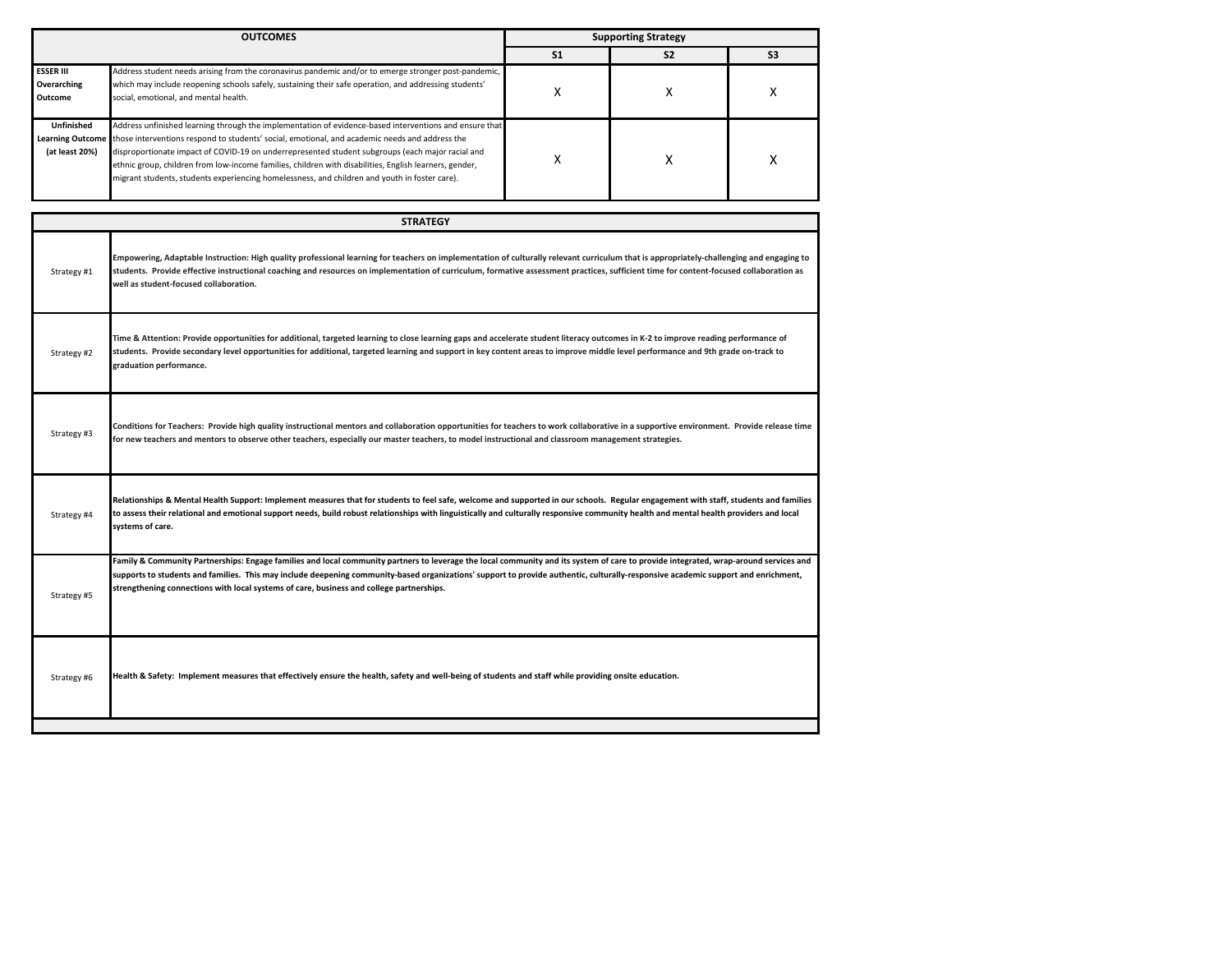| <b>OUTCOMES</b>                            |                                                                                                                                                                                                                                                                                                                                                                                                                                | <b>Supporting Strategy</b> |                |                |  |
|--------------------------------------------|--------------------------------------------------------------------------------------------------------------------------------------------------------------------------------------------------------------------------------------------------------------------------------------------------------------------------------------------------------------------------------------------------------------------------------|----------------------------|----------------|----------------|--|
|                                            |                                                                                                                                                                                                                                                                                                                                                                                                                                | S <sub>1</sub>             | S <sub>2</sub> | S <sub>3</sub> |  |
| <b>ESSER III</b><br>Overarching<br>Outcome | Address student needs arising from the coronavirus pandemic and/or to emerge stronger post-pandemic,<br>which may include reopening schools safely, sustaining their safe operation, and addressing students'<br>social, emotional, and mental health.                                                                                                                                                                         |                            |                |                |  |
| <b>Unfinished</b>                          | Address unfinished learning through the implementation of evidence-based interventions and ensure that                                                                                                                                                                                                                                                                                                                         |                            |                |                |  |
| (at least 20%)                             | Learning Outcome those interventions respond to students' social, emotional, and academic needs and address the<br>disproportionate impact of COVID-19 on underrepresented student subgroups (each major racial and<br>ethnic group, children from low-income families, children with disabilities, English learners, gender,<br>migrant students, students experiencing homelessness, and children and youth in foster care). |                            |                |                |  |

| Empowering, Adaptable Instruction: High quality professional learning for teachers on implementation of culturally relevant curriculum that is appropriately-challenging and engaging to<br>students. Provide effective instructional coaching and resources on implementation of curriculum, formative assessment practices, sufficient time for content-focused collaboration as<br>Time & Attention: Provide opportunities for additional, targeted learning to close learning gaps and accelerate student literacy outcomes in K-2 to improve reading performance of<br>students. Provide secondary level opportunities for additional, targeted learning and support in key content areas to improve middle level performance and 9th grade on-track to |
|--------------------------------------------------------------------------------------------------------------------------------------------------------------------------------------------------------------------------------------------------------------------------------------------------------------------------------------------------------------------------------------------------------------------------------------------------------------------------------------------------------------------------------------------------------------------------------------------------------------------------------------------------------------------------------------------------------------------------------------------------------------|
|                                                                                                                                                                                                                                                                                                                                                                                                                                                                                                                                                                                                                                                                                                                                                              |
|                                                                                                                                                                                                                                                                                                                                                                                                                                                                                                                                                                                                                                                                                                                                                              |
| Conditions for Teachers: Provide high quality instructional mentors and collaboration opportunities for teachers to work collaborative in a supportive environment. Provide release time                                                                                                                                                                                                                                                                                                                                                                                                                                                                                                                                                                     |
| Relationships & Mental Health Support: Implement measures that for students to feel safe, welcome and supported in our schools. Regular engagement with staff, students and families<br>to assess their relational and emotional support needs, build robust relationships with linguistically and culturally responsive community health and mental health providers and local                                                                                                                                                                                                                                                                                                                                                                              |
| Family & Community Partnerships: Engage families and local community partners to leverage the local community and its system of care to provide integrated, wrap-around services and<br>supports to students and families. This may include deepening community-based organizations' support to provide authentic, culturally-responsive academic support and enrichment,                                                                                                                                                                                                                                                                                                                                                                                    |
|                                                                                                                                                                                                                                                                                                                                                                                                                                                                                                                                                                                                                                                                                                                                                              |
|                                                                                                                                                                                                                                                                                                                                                                                                                                                                                                                                                                                                                                                                                                                                                              |